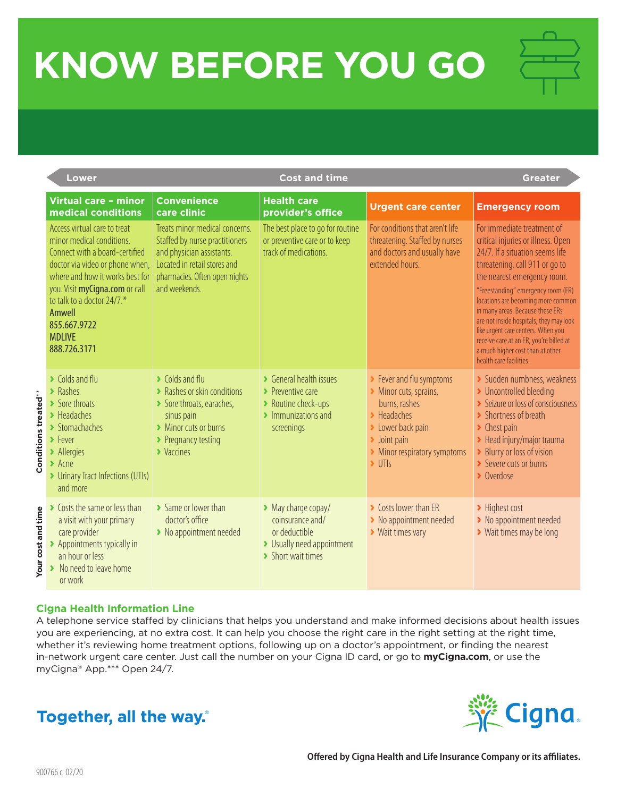## **KNOW BEFORE YOU GO**

|                      | <b>Lower</b>                                                                                                                                                                                                                                                                                        |                                                                                                                                                                                               | <b>Cost and time</b>                                                                                                                             | <b>Greater</b>                                                                                                                                                                                                              |                                                                                                                                                                                                                                                                                                                                                                                                                                                                                 |
|----------------------|-----------------------------------------------------------------------------------------------------------------------------------------------------------------------------------------------------------------------------------------------------------------------------------------------------|-----------------------------------------------------------------------------------------------------------------------------------------------------------------------------------------------|--------------------------------------------------------------------------------------------------------------------------------------------------|-----------------------------------------------------------------------------------------------------------------------------------------------------------------------------------------------------------------------------|---------------------------------------------------------------------------------------------------------------------------------------------------------------------------------------------------------------------------------------------------------------------------------------------------------------------------------------------------------------------------------------------------------------------------------------------------------------------------------|
|                      | Virtual care - minor<br>medical conditions                                                                                                                                                                                                                                                          | <b>Convenience</b><br>care clinic                                                                                                                                                             | <b>Health care</b><br>provider's office                                                                                                          | <b>Urgent care center</b>                                                                                                                                                                                                   | <b>Emergency room</b>                                                                                                                                                                                                                                                                                                                                                                                                                                                           |
|                      | Access virtual care to treat<br>minor medical conditions.<br>Connect with a board-certified<br>doctor via video or phone when,<br>where and how it works best for<br>you. Visit myCigna.com or call<br>to talk to a doctor 24/7.*<br><b>Amwell</b><br>855.667.9722<br><b>MDLIVE</b><br>888.726.3171 | Treats minor medical concerns.<br>Staffed by nurse practitioners<br>and physician assistants.<br>Located in retail stores and<br>pharmacies. Often open nights<br>and weekends.               | The best place to go for routine<br>or preventive care or to keep<br>track of medications.                                                       | For conditions that aren't life<br>threatening. Staffed by nurses<br>and doctors and usually have<br>extended hours.                                                                                                        | For immediate treatment of<br>critical injuries or illness. Open<br>24/7. If a situation seems life<br>threatening, call 911 or go to<br>the nearest emergency room.<br>"Freestanding" emergency room (ER)<br>locations are becoming more common<br>in many areas. Because these ERs<br>are not inside hospitals, they may look<br>like urgent care centers. When you<br>receive care at an ER, you're billed at<br>a much higher cost than at other<br>health care facilities. |
| Conditions treated** | $\blacktriangleright$ Colds and flu<br>$\blacktriangleright$ Rashes<br>> Sore throats<br>$\blacktriangleright$ Headaches<br>> Stomachaches<br>$\blacktriangleright$ Fever<br>> Allergies<br>$\blacktriangleright$ Acne<br>> Urinary Tract Infections (UTIs)<br>and more                             | $\blacktriangleright$ Colds and flu<br>> Rashes or skin conditions<br>Sore throats, earaches,<br>sinus pain<br>> Minor cuts or burns<br>▶ Pregnancy testing<br>$\blacktriangleright$ Vaccines | S General health issues<br>$\blacktriangleright$ Preventive care<br>> Routine check-ups<br>$\blacktriangleright$ Immunizations and<br>screenings | > Fever and flu symptoms<br>Minor cuts, sprains,<br>burns, rashes<br>$\blacktriangleright$ Headaches<br>> Lower back pain<br>$\blacktriangleright$ Joint pain<br>> Minor respiratory symptoms<br>$\blacktriangleright$ UTIs | > Sudden numbness, weakness<br>> Uncontrolled bleeding<br>Seizure or loss of consciousness<br>> Shortness of breath<br>$\blacktriangleright$ Chest pain<br>> Head injury/major trauma<br>> Blurry or loss of vision<br>Severe cuts or burns<br>> Overdose                                                                                                                                                                                                                       |
| Your cost and time   | ▶ Costs the same or less than<br>a visit with your primary<br>care provider<br>> Appointments typically in<br>an hour or less<br>No need to leave home<br>or work                                                                                                                                   | > Same or lower than<br>doctor's office<br>> No appointment needed                                                                                                                            | > May charge copay/<br>coinsurance and/<br>or deductible<br>> Usually need appointment<br>> Short wait times                                     | ▶ Costs lower than ER<br>> No appointment needed<br>▶ Wait times vary                                                                                                                                                       | > Highest cost<br>> No appointment needed<br>> Wait times may be long                                                                                                                                                                                                                                                                                                                                                                                                           |

## **Cigna Health Information Line**

A telephone service staffed by clinicians that helps you understand and make informed decisions about health issues you are experiencing, at no extra cost. It can help you choose the right care in the right setting at the right time, whether it's reviewing home treatment options, following up on a doctor's appointment, or finding the nearest in-network urgent care center. Just call the number on your Cigna ID card, or go to **myCigna.com**, or use the myCigna® App.\*\*\* Open 24/7.

## Together, all the way.